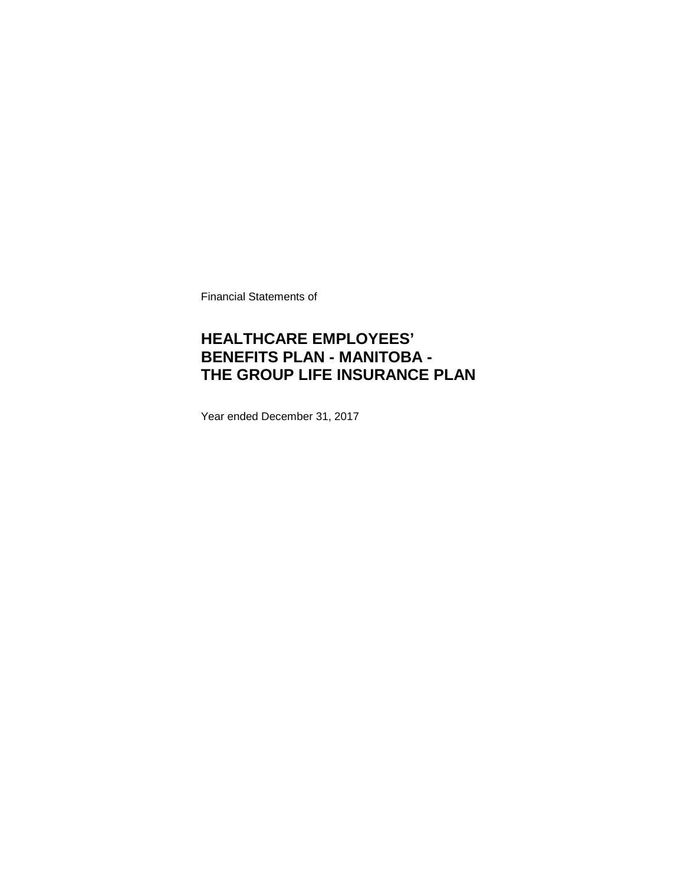Financial Statements of

### **HEALTHCARE EMPLOYEES' BENEFITS PLAN - MANITOBA - THE GROUP LIFE INSURANCE PLAN**

Year ended December 31, 2017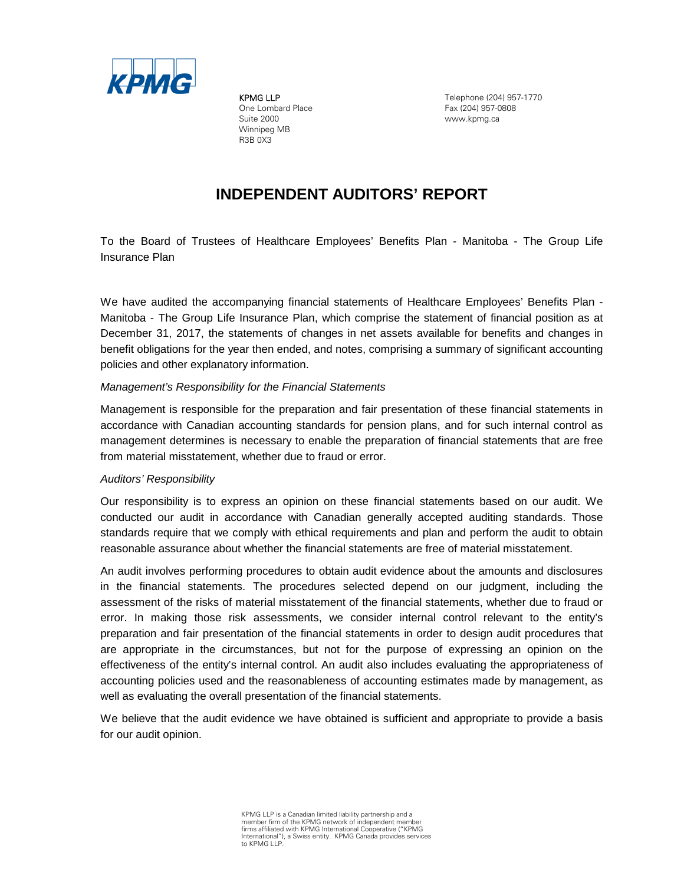

KPMG LLP One Lombard Place Suite 2000 Winnipeg MB R3B 0X3

Telephone (204) 957-1770 Fax (204) 957-0808 www.kpmg.ca

### **INDEPENDENT AUDITORS' REPORT**

To the Board of Trustees of Healthcare Employees' Benefits Plan - Manitoba - The Group Life Insurance Plan

We have audited the accompanying financial statements of Healthcare Employees' Benefits Plan - Manitoba - The Group Life Insurance Plan, which comprise the statement of financial position as at December 31, 2017, the statements of changes in net assets available for benefits and changes in benefit obligations for the year then ended, and notes, comprising a summary of significant accounting policies and other explanatory information.

### *Management's Responsibility for the Financial Statements*

Management is responsible for the preparation and fair presentation of these financial statements in accordance with Canadian accounting standards for pension plans, and for such internal control as management determines is necessary to enable the preparation of financial statements that are free from material misstatement, whether due to fraud or error.

#### *Auditors' Responsibility*

Our responsibility is to express an opinion on these financial statements based on our audit. We conducted our audit in accordance with Canadian generally accepted auditing standards. Those standards require that we comply with ethical requirements and plan and perform the audit to obtain reasonable assurance about whether the financial statements are free of material misstatement.

An audit involves performing procedures to obtain audit evidence about the amounts and disclosures in the financial statements. The procedures selected depend on our judgment, including the assessment of the risks of material misstatement of the financial statements, whether due to fraud or error. In making those risk assessments, we consider internal control relevant to the entity's preparation and fair presentation of the financial statements in order to design audit procedures that are appropriate in the circumstances, but not for the purpose of expressing an opinion on the effectiveness of the entity's internal control. An audit also includes evaluating the appropriateness of accounting policies used and the reasonableness of accounting estimates made by management, as well as evaluating the overall presentation of the financial statements.

We believe that the audit evidence we have obtained is sufficient and appropriate to provide a basis for our audit opinion.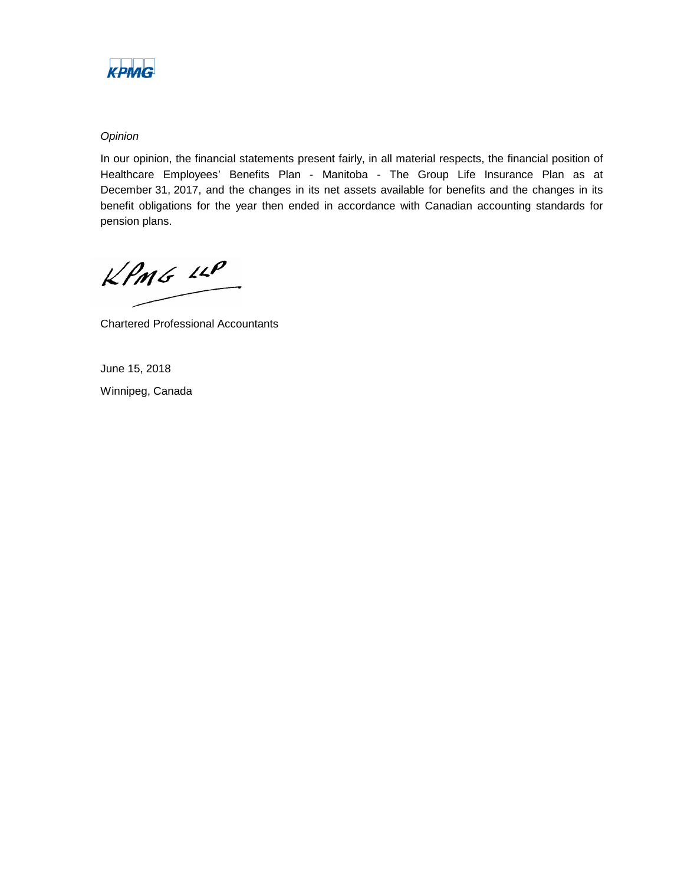

### *Opinion*

In our opinion, the financial statements present fairly, in all material respects, the financial position of Healthcare Employees' Benefits Plan - Manitoba - The Group Life Insurance Plan as at December 31, 2017, and the changes in its net assets available for benefits and the changes in its benefit obligations for the year then ended in accordance with Canadian accounting standards for pension plans.

 $KPMG$  14P

Chartered Professional Accountants

June 15, 2018 Winnipeg, Canada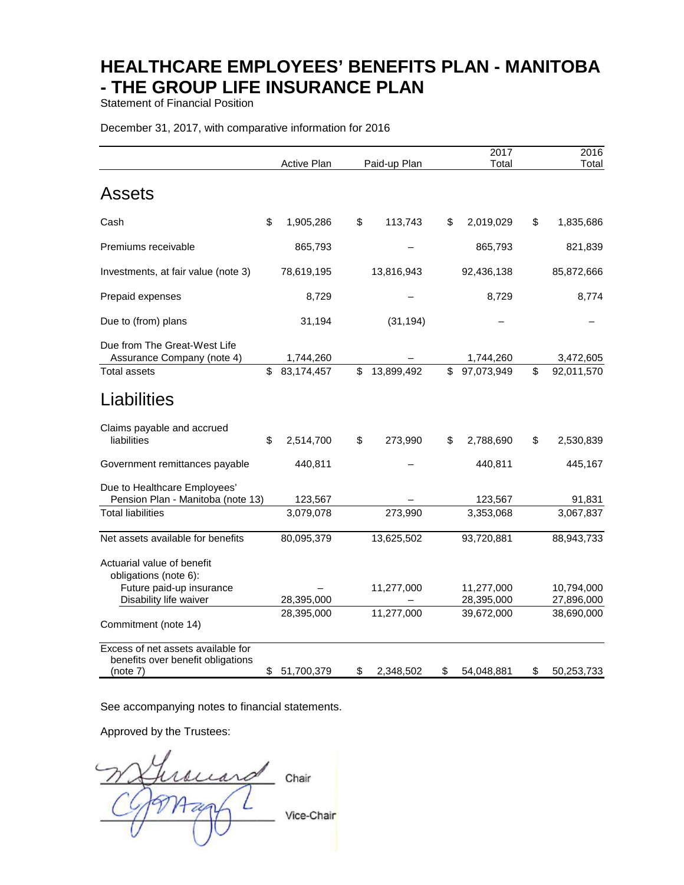Statement of Financial Position

December 31, 2017, with comparative information for 2016

|                                                                         |                  |                  | 2017             | 2016             |
|-------------------------------------------------------------------------|------------------|------------------|------------------|------------------|
|                                                                         | Active Plan      | Paid-up Plan     | Total            | Total            |
| <b>Assets</b>                                                           |                  |                  |                  |                  |
| Cash                                                                    | \$<br>1,905,286  | \$<br>113,743    | \$<br>2,019,029  | \$<br>1,835,686  |
| Premiums receivable                                                     | 865,793          |                  | 865,793          | 821,839          |
| Investments, at fair value (note 3)                                     | 78,619,195       | 13,816,943       | 92,436,138       | 85,872,666       |
| Prepaid expenses                                                        | 8,729            |                  | 8,729            | 8,774            |
| Due to (from) plans                                                     | 31,194           | (31, 194)        |                  |                  |
| Due from The Great-West Life<br>Assurance Company (note 4)              | 1,744,260        |                  | 1,744,260        | 3,472,605        |
| Total assets                                                            | \$<br>83,174,457 | \$<br>13,899,492 | \$<br>97,073,949 | \$<br>92,011,570 |
| Liabilities                                                             |                  |                  |                  |                  |
| Claims payable and accrued<br>liabilities                               | \$<br>2,514,700  | \$<br>273,990    | \$<br>2,788,690  | \$<br>2,530,839  |
| Government remittances payable                                          | 440,811          |                  | 440,811          | 445,167          |
| Due to Healthcare Employees'<br>Pension Plan - Manitoba (note 13)       | 123,567          |                  | 123,567          | 91,831           |
| <b>Total liabilities</b>                                                | 3,079,078        | 273,990          | 3,353,068        | 3,067,837        |
| Net assets available for benefits                                       | 80,095,379       | 13,625,502       | 93,720,881       | 88,943,733       |
| Actuarial value of benefit<br>obligations (note 6):                     |                  |                  |                  |                  |
| Future paid-up insurance                                                |                  | 11,277,000       | 11,277,000       | 10,794,000       |
| Disability life waiver                                                  | 28,395,000       |                  | 28,395,000       | 27,896,000       |
| Commitment (note 14)                                                    | 28,395,000       | 11,277,000       | 39,672,000       | 38,690,000       |
| Excess of net assets available for<br>benefits over benefit obligations |                  |                  |                  |                  |
| (note 7)                                                                | \$<br>51,700,379 | \$<br>2,348,502  | \$<br>54,048,881 | \$<br>50,253,733 |

See accompanying notes to financial statements.

Approved by the Trustees:

suard Chair Vice-Chair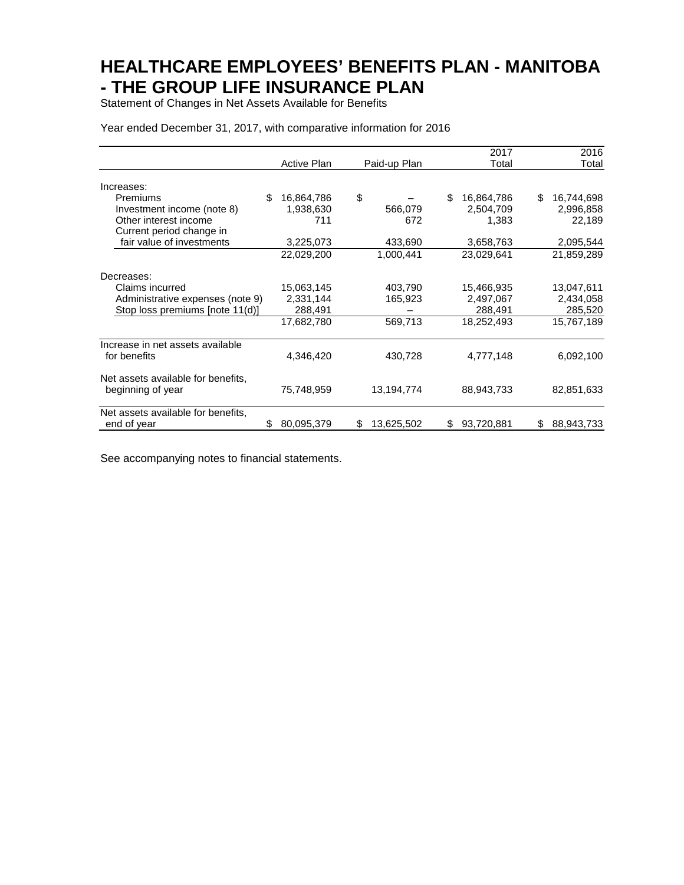Statement of Changes in Net Assets Available for Benefits

### Year ended December 31, 2017, with comparative information for 2016

|                                    |                    |                  | 2017             | 2016             |
|------------------------------------|--------------------|------------------|------------------|------------------|
|                                    | <b>Active Plan</b> | Paid-up Plan     | Total            | Total            |
| Increases:                         |                    |                  |                  |                  |
| Premiums<br>\$.                    | 16,864,786         | \$               | \$<br>16,864,786 | 16,744,698<br>\$ |
| Investment income (note 8)         | 1,938,630          | 566,079          | 2,504,709        | 2,996,858        |
| Other interest income              | 711                | 672              | 1,383            | 22,189           |
| Current period change in           |                    |                  |                  |                  |
| fair value of investments          | 3,225,073          | 433,690          | 3,658,763        | 2,095,544        |
|                                    | 22,029,200         | 1,000,441        | 23,029,641       | 21,859,289       |
| Decreases:                         |                    |                  |                  |                  |
| Claims incurred                    | 15,063,145         | 403,790          | 15,466,935       | 13,047,611       |
| Administrative expenses (note 9)   | 2,331,144          | 165,923          | 2,497,067        | 2,434,058        |
| Stop loss premiums [note 11(d)]    | 288,491            |                  | 288,491          | 285,520          |
|                                    | 17,682,780         | 569,713          | 18,252,493       | 15,767,189       |
| Increase in net assets available   |                    |                  |                  |                  |
| for benefits                       | 4,346,420          | 430,728          | 4,777,148        | 6,092,100        |
| Net assets available for benefits, |                    |                  |                  |                  |
| beginning of year                  | 75,748,959         | 13,194,774       | 88,943,733       | 82,851,633       |
| Net assets available for benefits, |                    |                  |                  |                  |
| end of year<br>\$                  | 80,095,379         | 13,625,502<br>\$ | 93,720,881<br>\$ | 88,943,733<br>\$ |

See accompanying notes to financial statements.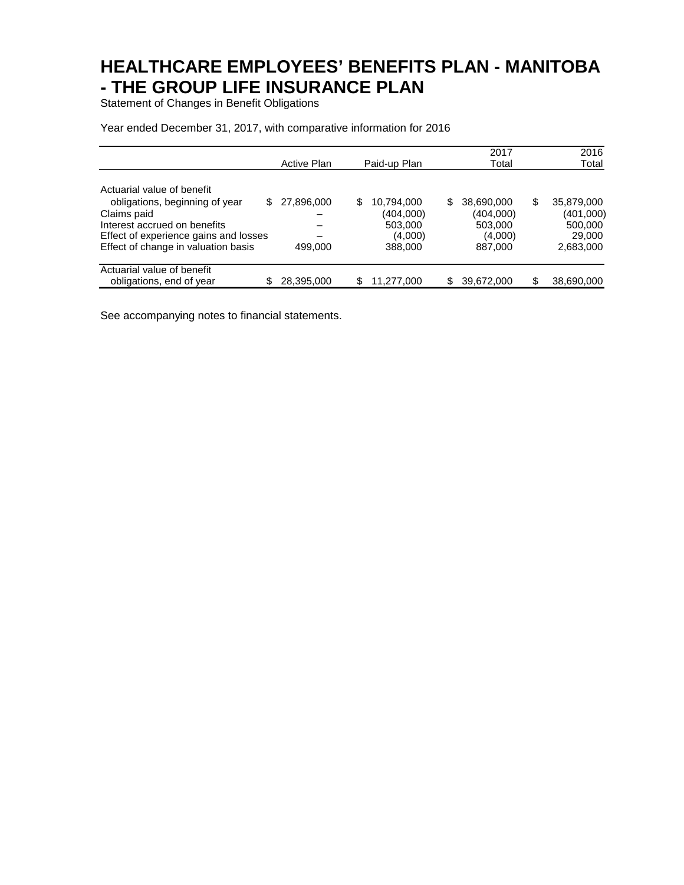Statement of Changes in Benefit Obligations

Year ended December 31, 2017, with comparative information for 2016

|                                                                                                                                                                                             | Active Plan           | Paid-up Plan                                                   | 2017<br>Total                                                         | 2016<br>Total                                             |
|---------------------------------------------------------------------------------------------------------------------------------------------------------------------------------------------|-----------------------|----------------------------------------------------------------|-----------------------------------------------------------------------|-----------------------------------------------------------|
| Actuarial value of benefit<br>obligations, beginning of year<br>Claims paid<br>Interest accrued on benefits<br>Effect of experience gains and losses<br>Effect of change in valuation basis | 27,896,000<br>499,000 | 10,794,000<br>\$<br>(404,000)<br>503,000<br>(4,000)<br>388,000 | 38,690,000<br>\$<br>\$.<br>(404,000)<br>503,000<br>(4,000)<br>887,000 | 35,879,000<br>(401,000)<br>500,000<br>29.000<br>2,683,000 |
| Actuarial value of benefit<br>obligations, end of year                                                                                                                                      | 28,395,000            | 11,277,000<br>S.                                               | 39,672,000<br>\$                                                      | 38,690,000                                                |

See accompanying notes to financial statements.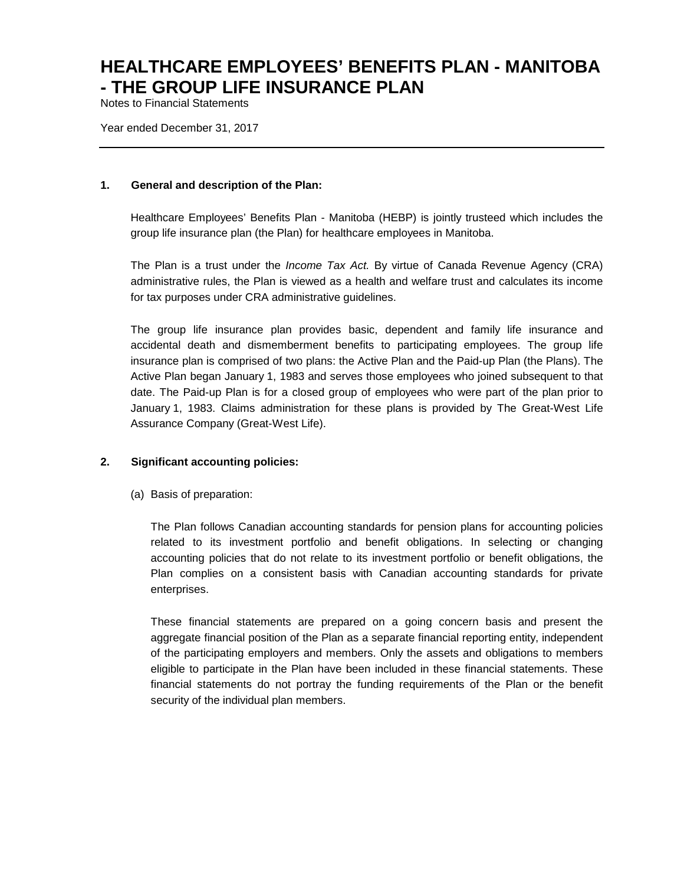Notes to Financial Statements

Year ended December 31, 2017

#### **1. General and description of the Plan:**

Healthcare Employees' Benefits Plan - Manitoba (HEBP) is jointly trusteed which includes the group life insurance plan (the Plan) for healthcare employees in Manitoba.

The Plan is a trust under the *Income Tax Act.* By virtue of Canada Revenue Agency (CRA) administrative rules, the Plan is viewed as a health and welfare trust and calculates its income for tax purposes under CRA administrative guidelines.

The group life insurance plan provides basic, dependent and family life insurance and accidental death and dismemberment benefits to participating employees. The group life insurance plan is comprised of two plans: the Active Plan and the Paid-up Plan (the Plans). The Active Plan began January 1, 1983 and serves those employees who joined subsequent to that date. The Paid-up Plan is for a closed group of employees who were part of the plan prior to January 1, 1983. Claims administration for these plans is provided by The Great-West Life Assurance Company (Great-West Life).

### **2. Significant accounting policies:**

(a) Basis of preparation:

The Plan follows Canadian accounting standards for pension plans for accounting policies related to its investment portfolio and benefit obligations. In selecting or changing accounting policies that do not relate to its investment portfolio or benefit obligations, the Plan complies on a consistent basis with Canadian accounting standards for private enterprises.

These financial statements are prepared on a going concern basis and present the aggregate financial position of the Plan as a separate financial reporting entity, independent of the participating employers and members. Only the assets and obligations to members eligible to participate in the Plan have been included in these financial statements. These financial statements do not portray the funding requirements of the Plan or the benefit security of the individual plan members.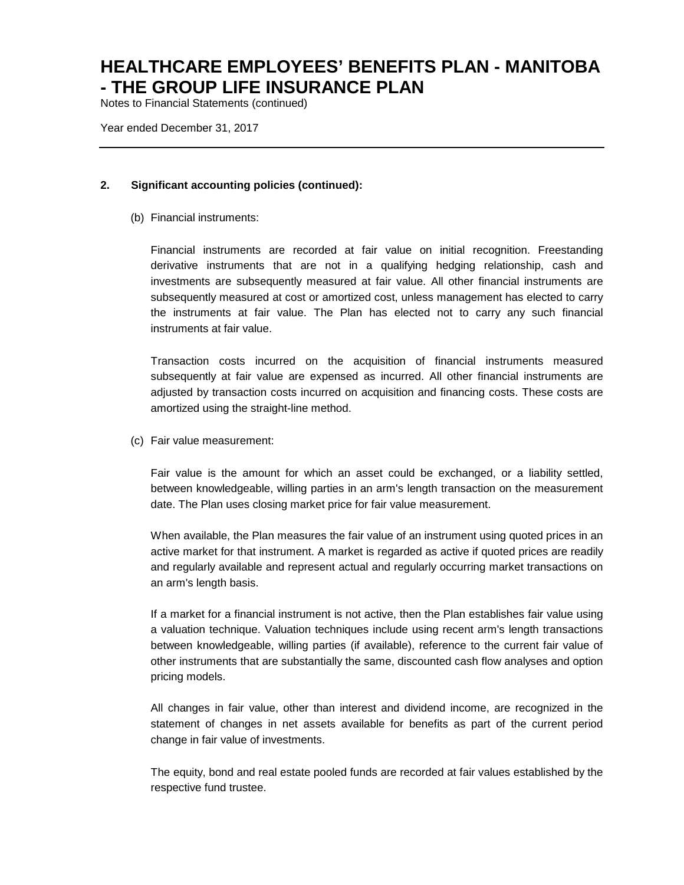Notes to Financial Statements (continued)

Year ended December 31, 2017

### **2. Significant accounting policies (continued):**

(b) Financial instruments:

Financial instruments are recorded at fair value on initial recognition. Freestanding derivative instruments that are not in a qualifying hedging relationship, cash and investments are subsequently measured at fair value. All other financial instruments are subsequently measured at cost or amortized cost, unless management has elected to carry the instruments at fair value. The Plan has elected not to carry any such financial instruments at fair value.

Transaction costs incurred on the acquisition of financial instruments measured subsequently at fair value are expensed as incurred. All other financial instruments are adjusted by transaction costs incurred on acquisition and financing costs. These costs are amortized using the straight-line method.

(c) Fair value measurement:

Fair value is the amount for which an asset could be exchanged, or a liability settled, between knowledgeable, willing parties in an arm's length transaction on the measurement date. The Plan uses closing market price for fair value measurement.

When available, the Plan measures the fair value of an instrument using quoted prices in an active market for that instrument. A market is regarded as active if quoted prices are readily and regularly available and represent actual and regularly occurring market transactions on an arm's length basis.

If a market for a financial instrument is not active, then the Plan establishes fair value using a valuation technique. Valuation techniques include using recent arm's length transactions between knowledgeable, willing parties (if available), reference to the current fair value of other instruments that are substantially the same, discounted cash flow analyses and option pricing models.

All changes in fair value, other than interest and dividend income, are recognized in the statement of changes in net assets available for benefits as part of the current period change in fair value of investments.

The equity, bond and real estate pooled funds are recorded at fair values established by the respective fund trustee.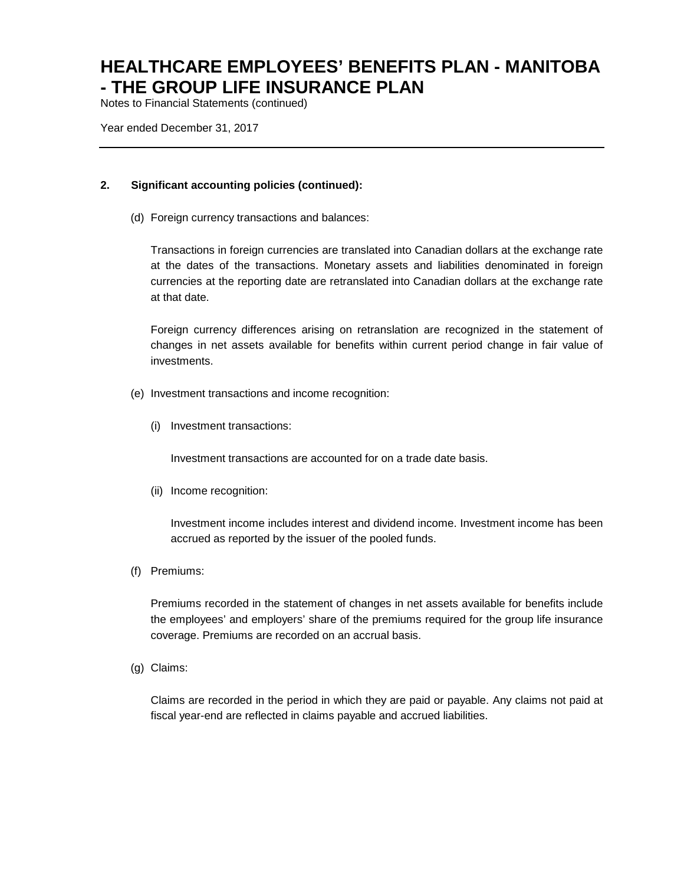Notes to Financial Statements (continued)

Year ended December 31, 2017

### **2. Significant accounting policies (continued):**

(d) Foreign currency transactions and balances:

Transactions in foreign currencies are translated into Canadian dollars at the exchange rate at the dates of the transactions. Monetary assets and liabilities denominated in foreign currencies at the reporting date are retranslated into Canadian dollars at the exchange rate at that date.

Foreign currency differences arising on retranslation are recognized in the statement of changes in net assets available for benefits within current period change in fair value of investments.

- (e) Investment transactions and income recognition:
	- (i) Investment transactions:

Investment transactions are accounted for on a trade date basis.

(ii) Income recognition:

Investment income includes interest and dividend income. Investment income has been accrued as reported by the issuer of the pooled funds.

(f) Premiums:

Premiums recorded in the statement of changes in net assets available for benefits include the employees' and employers' share of the premiums required for the group life insurance coverage. Premiums are recorded on an accrual basis.

(g) Claims:

Claims are recorded in the period in which they are paid or payable. Any claims not paid at fiscal year-end are reflected in claims payable and accrued liabilities.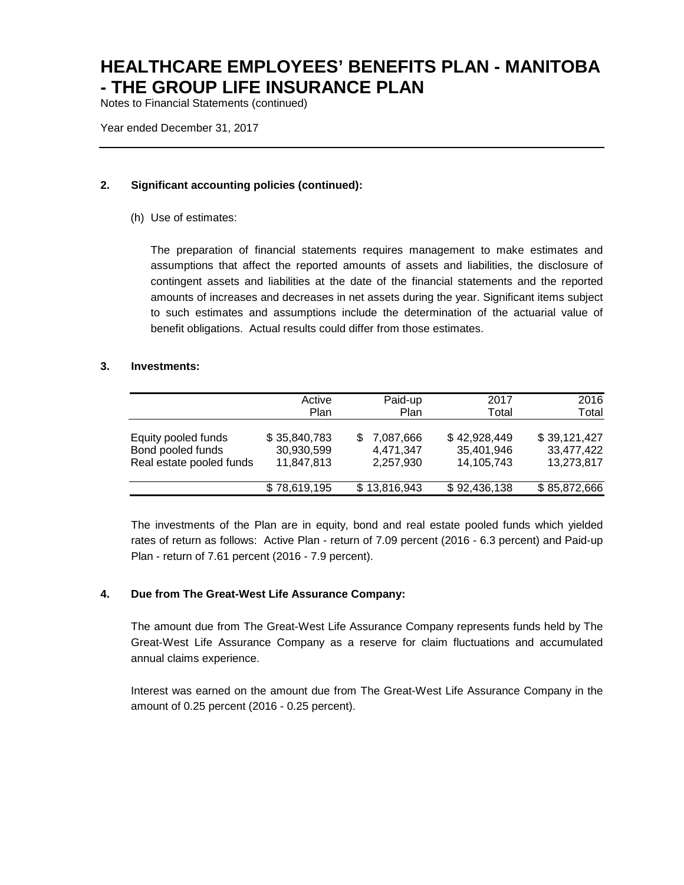Notes to Financial Statements (continued)

Year ended December 31, 2017

### **2. Significant accounting policies (continued):**

(h) Use of estimates:

The preparation of financial statements requires management to make estimates and assumptions that affect the reported amounts of assets and liabilities, the disclosure of contingent assets and liabilities at the date of the financial statements and the reported amounts of increases and decreases in net assets during the year. Significant items subject to such estimates and assumptions include the determination of the actuarial value of benefit obligations. Actual results could differ from those estimates.

### **3. Investments:**

|                                                                      | Active<br>Plan                           | Paid-up<br>Plan                           | 2017<br>Total                            | 2016<br>Total                            |
|----------------------------------------------------------------------|------------------------------------------|-------------------------------------------|------------------------------------------|------------------------------------------|
| Equity pooled funds<br>Bond pooled funds<br>Real estate pooled funds | \$35,840,783<br>30,930,599<br>11,847,813 | 7,087,666<br>S.<br>4,471,347<br>2,257,930 | \$42,928,449<br>35,401,946<br>14,105,743 | \$39,121,427<br>33,477,422<br>13,273,817 |
|                                                                      | \$78,619,195                             | \$13,816,943                              | \$92,436,138                             | \$85,872,666                             |

The investments of the Plan are in equity, bond and real estate pooled funds which yielded rates of return as follows: Active Plan - return of 7.09 percent (2016 - 6.3 percent) and Paid-up Plan - return of 7.61 percent (2016 - 7.9 percent).

#### **4. Due from The Great-West Life Assurance Company:**

The amount due from The Great-West Life Assurance Company represents funds held by The Great-West Life Assurance Company as a reserve for claim fluctuations and accumulated annual claims experience.

Interest was earned on the amount due from The Great-West Life Assurance Company in the amount of 0.25 percent (2016 - 0.25 percent).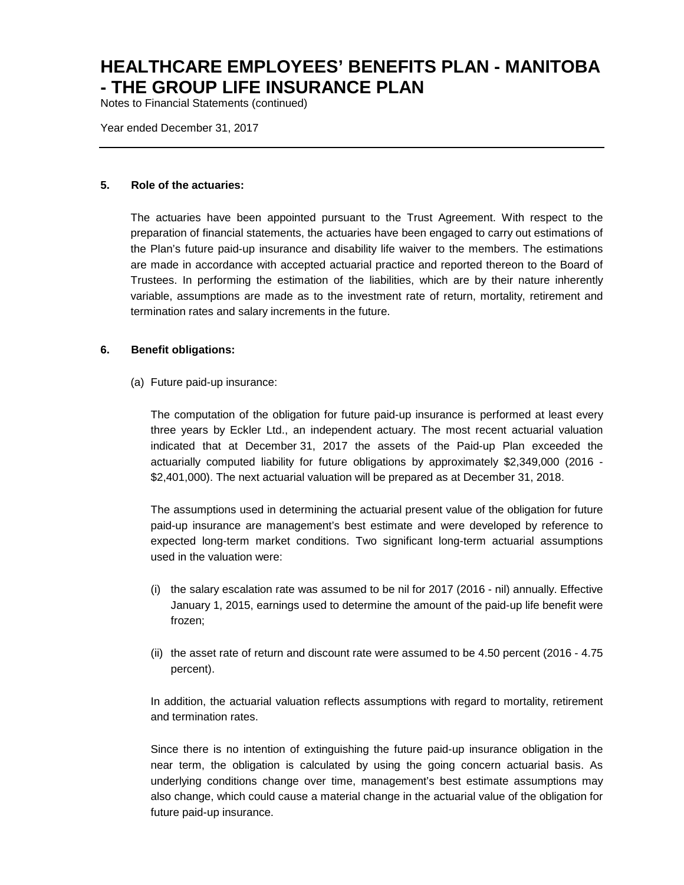Notes to Financial Statements (continued)

Year ended December 31, 2017

### **5. Role of the actuaries:**

The actuaries have been appointed pursuant to the Trust Agreement. With respect to the preparation of financial statements, the actuaries have been engaged to carry out estimations of the Plan's future paid-up insurance and disability life waiver to the members. The estimations are made in accordance with accepted actuarial practice and reported thereon to the Board of Trustees. In performing the estimation of the liabilities, which are by their nature inherently variable, assumptions are made as to the investment rate of return, mortality, retirement and termination rates and salary increments in the future.

### **6. Benefit obligations:**

(a) Future paid-up insurance:

The computation of the obligation for future paid-up insurance is performed at least every three years by Eckler Ltd., an independent actuary. The most recent actuarial valuation indicated that at December 31, 2017 the assets of the Paid-up Plan exceeded the actuarially computed liability for future obligations by approximately \$2,349,000 (2016 - \$2,401,000). The next actuarial valuation will be prepared as at December 31, 2018.

The assumptions used in determining the actuarial present value of the obligation for future paid-up insurance are management's best estimate and were developed by reference to expected long-term market conditions. Two significant long-term actuarial assumptions used in the valuation were:

- (i) the salary escalation rate was assumed to be nil for 2017 (2016 nil) annually. Effective January 1, 2015, earnings used to determine the amount of the paid-up life benefit were frozen;
- (ii) the asset rate of return and discount rate were assumed to be 4.50 percent (2016 4.75 percent).

In addition, the actuarial valuation reflects assumptions with regard to mortality, retirement and termination rates.

Since there is no intention of extinguishing the future paid-up insurance obligation in the near term, the obligation is calculated by using the going concern actuarial basis. As underlying conditions change over time, management's best estimate assumptions may also change, which could cause a material change in the actuarial value of the obligation for future paid-up insurance.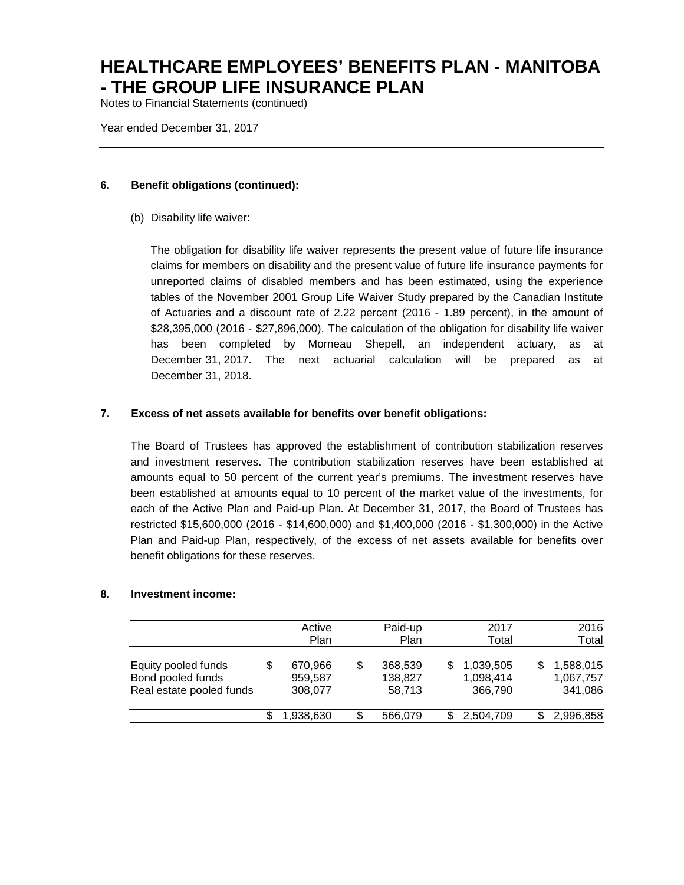Notes to Financial Statements (continued)

Year ended December 31, 2017

### **6. Benefit obligations (continued):**

(b) Disability life waiver:

The obligation for disability life waiver represents the present value of future life insurance claims for members on disability and the present value of future life insurance payments for unreported claims of disabled members and has been estimated, using the experience tables of the November 2001 Group Life Waiver Study prepared by the Canadian Institute of Actuaries and a discount rate of 2.22 percent (2016 - 1.89 percent), in the amount of \$28,395,000 (2016 - \$27,896,000). The calculation of the obligation for disability life waiver has been completed by Morneau Shepell, an independent actuary, as at December 31, 2017. The next actuarial calculation will be prepared as at December 31, 2018.

### **7. Excess of net assets available for benefits over benefit obligations:**

The Board of Trustees has approved the establishment of contribution stabilization reserves and investment reserves. The contribution stabilization reserves have been established at amounts equal to 50 percent of the current year's premiums. The investment reserves have been established at amounts equal to 10 percent of the market value of the investments, for each of the Active Plan and Paid-up Plan. At December 31, 2017, the Board of Trustees has restricted \$15,600,000 (2016 - \$14,600,000) and \$1,400,000 (2016 - \$1,300,000) in the Active Plan and Paid-up Plan, respectively, of the excess of net assets available for benefits over benefit obligations for these reserves.

#### **8. Investment income:**

|                                                                      |   | Active<br>Plan                | Paid-up<br>Plan                    | 2017<br>Total                     | 2016<br>Total                          |
|----------------------------------------------------------------------|---|-------------------------------|------------------------------------|-----------------------------------|----------------------------------------|
| Equity pooled funds<br>Bond pooled funds<br>Real estate pooled funds | S | 670,966<br>959,587<br>308,077 | \$<br>368,539<br>138,827<br>58.713 | 1,039,505<br>1,098,414<br>366,790 | 1,588,015<br>S<br>1,067,757<br>341,086 |
|                                                                      |   | 1,938,630                     | \$<br>566,079                      | 2,504,709                         | 2,996,858                              |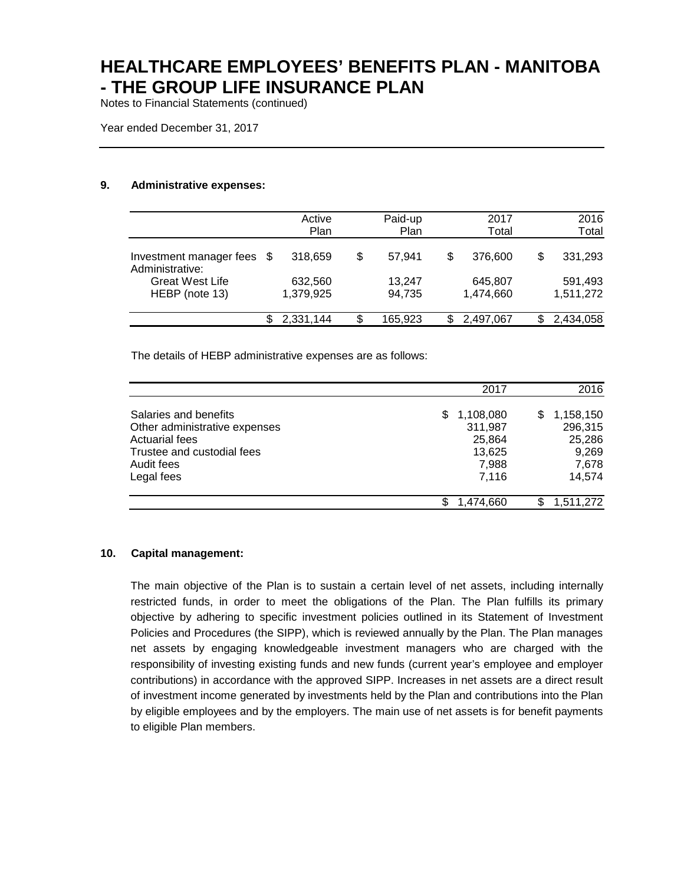Notes to Financial Statements (continued)

Year ended December 31, 2017

#### **9. Administrative expenses:**

|                                               | Active<br>Plan       |    | Paid-up<br>Plan  |    | 2017<br>Total        |   | 2016<br>Total        |
|-----------------------------------------------|----------------------|----|------------------|----|----------------------|---|----------------------|
| Investment manager fees \$<br>Administrative: | 318,659              | \$ | 57.941           | S  | 376,600              | S | 331,293              |
| <b>Great West Life</b><br>HEBP (note 13)      | 632,560<br>1,379,925 |    | 13.247<br>94,735 |    | 645.807<br>1,474,660 |   | 591,493<br>1,511,272 |
|                                               | 2,331,144            | S  | 165,923          | S. | 2,497,067            |   | 2,434,058            |

The details of HEBP administrative expenses are as follows:

|                               | 2017      | 2016            |
|-------------------------------|-----------|-----------------|
| Salaries and benefits         | 1,108,080 | 1,158,150<br>S. |
| Other administrative expenses | 311,987   | 296,315         |
| <b>Actuarial fees</b>         | 25,864    | 25,286          |
| Trustee and custodial fees    | 13,625    | 9,269           |
| Audit fees                    | 7,988     | 7,678           |
| Legal fees                    | 7.116     | 14,574          |
|                               |           |                 |
|                               | 1,474,660 | 1,511,272       |

#### **10. Capital management:**

The main objective of the Plan is to sustain a certain level of net assets, including internally restricted funds, in order to meet the obligations of the Plan. The Plan fulfills its primary objective by adhering to specific investment policies outlined in its Statement of Investment Policies and Procedures (the SIPP), which is reviewed annually by the Plan. The Plan manages net assets by engaging knowledgeable investment managers who are charged with the responsibility of investing existing funds and new funds (current year's employee and employer contributions) in accordance with the approved SIPP. Increases in net assets are a direct result of investment income generated by investments held by the Plan and contributions into the Plan by eligible employees and by the employers. The main use of net assets is for benefit payments to eligible Plan members.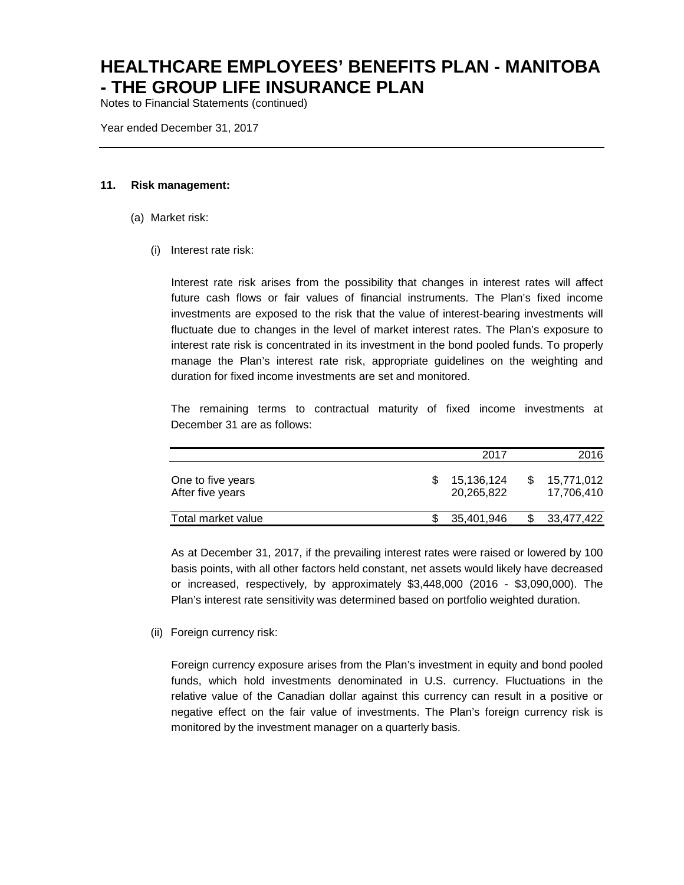Notes to Financial Statements (continued)

Year ended December 31, 2017

#### **11. Risk management:**

- (a) Market risk:
	- (i) Interest rate risk:

Interest rate risk arises from the possibility that changes in interest rates will affect future cash flows or fair values of financial instruments. The Plan's fixed income investments are exposed to the risk that the value of interest-bearing investments will fluctuate due to changes in the level of market interest rates. The Plan's exposure to interest rate risk is concentrated in its investment in the bond pooled funds. To properly manage the Plan's interest rate risk, appropriate guidelines on the weighting and duration for fixed income investments are set and monitored.

The remaining terms to contractual maturity of fixed income investments at December 31 are as follows:

|                                       | 2017                     | 2016                     |
|---------------------------------------|--------------------------|--------------------------|
| One to five years<br>After five years | 15,136,124<br>20.265.822 | 15,771,012<br>17,706,410 |
| Total market value                    | 35,401,946               | 33,477,422               |

As at December 31, 2017, if the prevailing interest rates were raised or lowered by 100 basis points, with all other factors held constant, net assets would likely have decreased or increased, respectively, by approximately \$3,448,000 (2016 - \$3,090,000). The Plan's interest rate sensitivity was determined based on portfolio weighted duration.

(ii) Foreign currency risk:

Foreign currency exposure arises from the Plan's investment in equity and bond pooled funds, which hold investments denominated in U.S. currency. Fluctuations in the relative value of the Canadian dollar against this currency can result in a positive or negative effect on the fair value of investments. The Plan's foreign currency risk is monitored by the investment manager on a quarterly basis.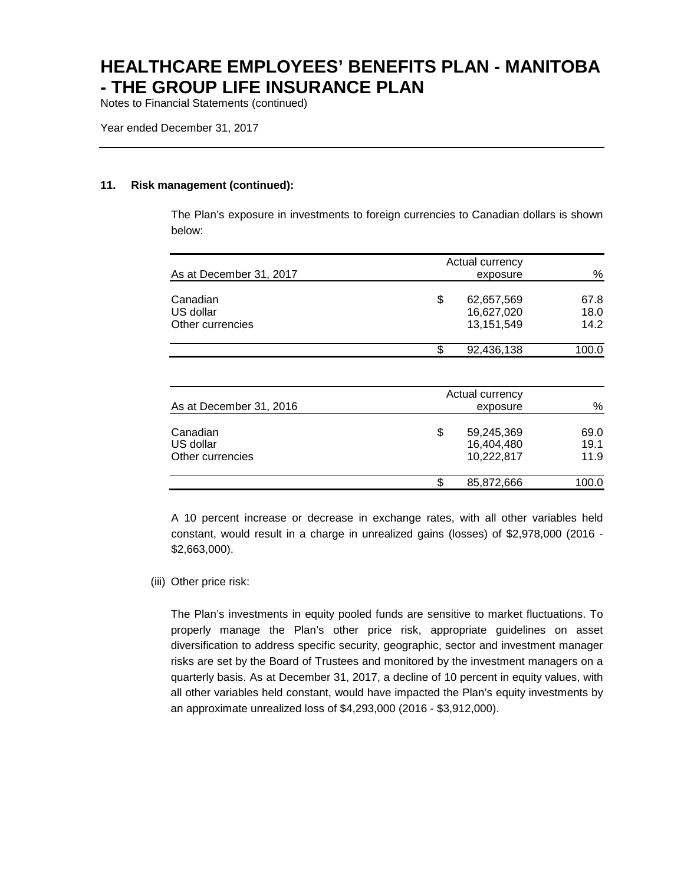Notes to Financial Statements (continued)

Year ended December 31, 2017

#### **11. Risk management (continued):**

The Plan's exposure in investments to foreign currencies to Canadian dollars is shown below:

| As at December 31, 2017                   | Actual currency<br>exposure                  | %                    |  |
|-------------------------------------------|----------------------------------------------|----------------------|--|
| Canadian<br>US dollar<br>Other currencies | \$<br>62,657,569<br>16,627,020<br>13,151,549 | 67.8<br>18.0<br>14.2 |  |
|                                           | \$<br>92,436,138                             | 100.0                |  |

|                         | Actual currency |            |       |
|-------------------------|-----------------|------------|-------|
| As at December 31, 2016 |                 | exposure   | ℅     |
| Canadian                | S               | 59,245,369 | 69.0  |
| US dollar               |                 | 16,404,480 | 19.1  |
| Other currencies        |                 | 10,222,817 | 11.9  |
|                         | S               | 85,872,666 | 100.0 |

A 10 percent increase or decrease in exchange rates, with all other variables held constant, would result in a charge in unrealized gains (losses) of \$2,978,000 (2016 - \$2,663,000).

#### (iii) Other price risk:

The Plan's investments in equity pooled funds are sensitive to market fluctuations. To properly manage the Plan's other price risk, appropriate guidelines on asset diversification to address specific security, geographic, sector and investment manager risks are set by the Board of Trustees and monitored by the investment managers on a quarterly basis. As at December 31, 2017, a decline of 10 percent in equity values, with all other variables held constant, would have impacted the Plan's equity investments by an approximate unrealized loss of \$4,293,000 (2016 - \$3,912,000).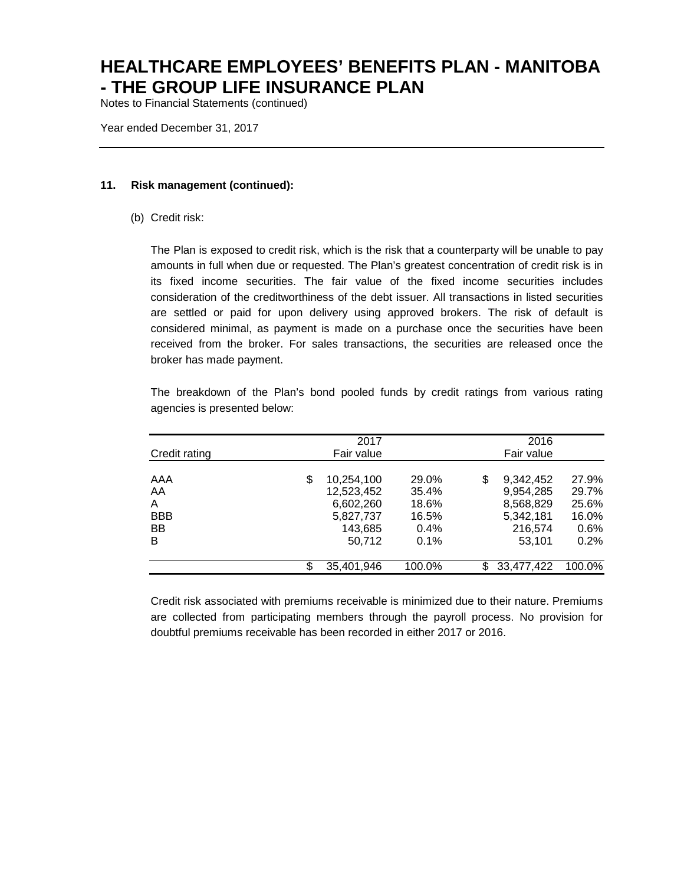Notes to Financial Statements (continued)

Year ended December 31, 2017

#### **11. Risk management (continued):**

(b) Credit risk:

The Plan is exposed to credit risk, which is the risk that a counterparty will be unable to pay amounts in full when due or requested. The Plan's greatest concentration of credit risk is in its fixed income securities. The fair value of the fixed income securities includes consideration of the creditworthiness of the debt issuer. All transactions in listed securities are settled or paid for upon delivery using approved brokers. The risk of default is considered minimal, as payment is made on a purchase once the securities have been received from the broker. For sales transactions, the securities are released once the broker has made payment.

The breakdown of the Plan's bond pooled funds by credit ratings from various rating agencies is presented below:

|               | 2017             |        | 2016            |        |
|---------------|------------------|--------|-----------------|--------|
| Credit rating | Fair value       |        | Fair value      |        |
| AAA           | \$<br>10,254,100 | 29.0%  | 9,342,452<br>\$ | 27.9%  |
| AA            | 12,523,452       | 35.4%  | 9,954,285       | 29.7%  |
| A             | 6,602,260        | 18.6%  | 8,568,829       | 25.6%  |
| <b>BBB</b>    | 5.827.737        | 16.5%  | 5,342,181       | 16.0%  |
| BB            | 143,685          | 0.4%   | 216,574         | 0.6%   |
| B             | 50.712           | 0.1%   | 53.101          | 0.2%   |
|               | \$<br>35,401,946 | 100.0% | 33,477,422      | 100.0% |

Credit risk associated with premiums receivable is minimized due to their nature. Premiums are collected from participating members through the payroll process. No provision for doubtful premiums receivable has been recorded in either 2017 or 2016.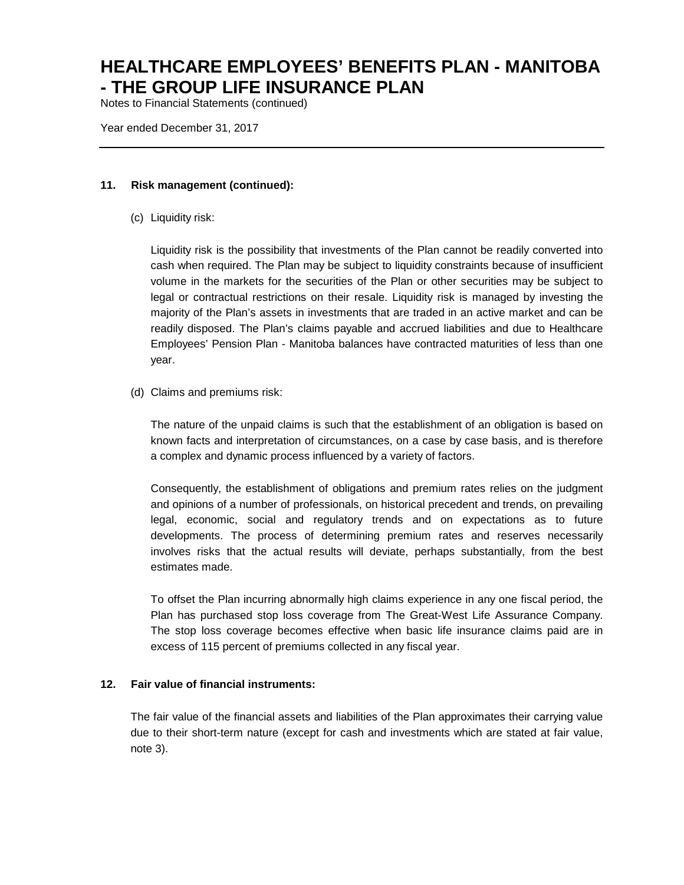Notes to Financial Statements (continued)

Year ended December 31, 2017

### **11. Risk management (continued):**

(c) Liquidity risk:

Liquidity risk is the possibility that investments of the Plan cannot be readily converted into cash when required. The Plan may be subject to liquidity constraints because of insufficient volume in the markets for the securities of the Plan or other securities may be subject to legal or contractual restrictions on their resale. Liquidity risk is managed by investing the majority of the Plan's assets in investments that are traded in an active market and can be readily disposed. The Plan's claims payable and accrued liabilities and due to Healthcare Employees' Pension Plan - Manitoba balances have contracted maturities of less than one year.

(d) Claims and premiums risk:

The nature of the unpaid claims is such that the establishment of an obligation is based on known facts and interpretation of circumstances, on a case by case basis, and is therefore a complex and dynamic process influenced by a variety of factors.

Consequently, the establishment of obligations and premium rates relies on the judgment and opinions of a number of professionals, on historical precedent and trends, on prevailing legal, economic, social and regulatory trends and on expectations as to future developments. The process of determining premium rates and reserves necessarily involves risks that the actual results will deviate, perhaps substantially, from the best estimates made.

To offset the Plan incurring abnormally high claims experience in any one fiscal period, the Plan has purchased stop loss coverage from The Great-West Life Assurance Company. The stop loss coverage becomes effective when basic life insurance claims paid are in excess of 115 percent of premiums collected in any fiscal year.

#### **12. Fair value of financial instruments:**

The fair value of the financial assets and liabilities of the Plan approximates their carrying value due to their short-term nature (except for cash and investments which are stated at fair value, note 3).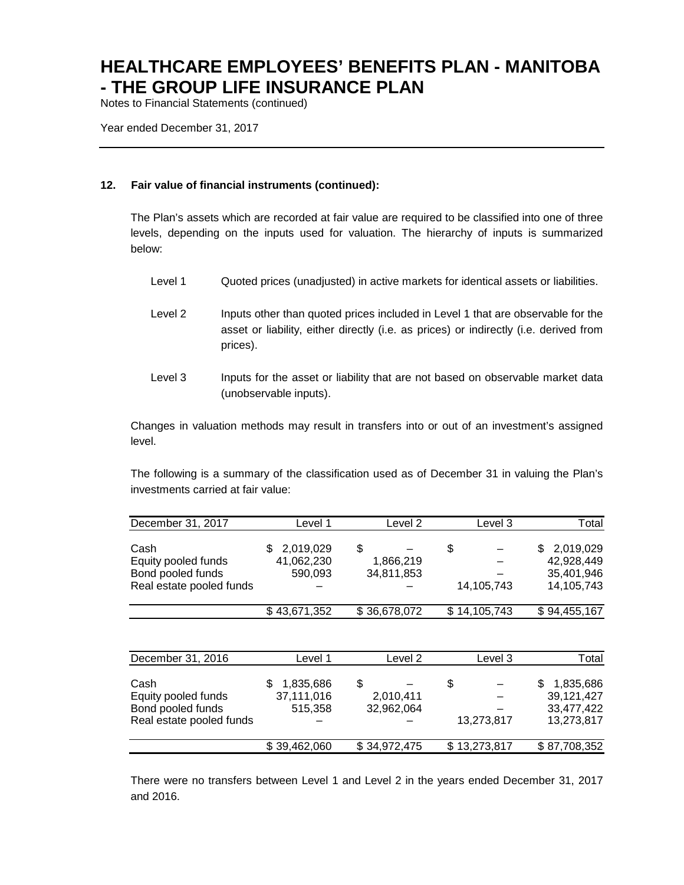Notes to Financial Statements (continued)

Year ended December 31, 2017

### **12. Fair value of financial instruments (continued):**

The Plan's assets which are recorded at fair value are required to be classified into one of three levels, depending on the inputs used for valuation. The hierarchy of inputs is summarized below:

- Level 1 Quoted prices (unadjusted) in active markets for identical assets or liabilities.
- Level 2 Inputs other than quoted prices included in Level 1 that are observable for the asset or liability, either directly (i.e. as prices) or indirectly (i.e. derived from prices).
- Level 3 Inputs for the asset or liability that are not based on observable market data (unobservable inputs).

Changes in valuation methods may result in transfers into or out of an investment's assigned level.

The following is a summary of the classification used as of December 31 in valuing the Plan's investments carried at fair value:

| December 31, 2017        | Level 1      | Level 2      | Level 3      | Total        |
|--------------------------|--------------|--------------|--------------|--------------|
|                          |              |              |              |              |
| Cash                     | 2,019,029    | \$           | \$           | 2,019,029    |
| Equity pooled funds      | 41,062,230   | 1,866,219    |              | 42,928,449   |
| Bond pooled funds        | 590,093      | 34,811,853   |              | 35,401,946   |
| Real estate pooled funds |              |              | 14,105,743   | 14,105,743   |
|                          | \$43,671,352 | \$36,678,072 | \$14,105,743 | \$94,455,167 |

| December 31, 2016        | Level 1      | Level 2      | Level 3      | Total        |
|--------------------------|--------------|--------------|--------------|--------------|
| Cash                     | 1,835,686    | \$           | S            | 1,835,686    |
| Equity pooled funds      | 37,111,016   | 2,010,411    |              | 39,121,427   |
| Bond pooled funds        | 515,358      | 32,962,064   |              | 33,477,422   |
| Real estate pooled funds |              |              | 13,273,817   | 13,273,817   |
|                          | \$39,462,060 | \$34,972,475 | \$13,273,817 | \$87,708,352 |

There were no transfers between Level 1 and Level 2 in the years ended December 31, 2017 and 2016.